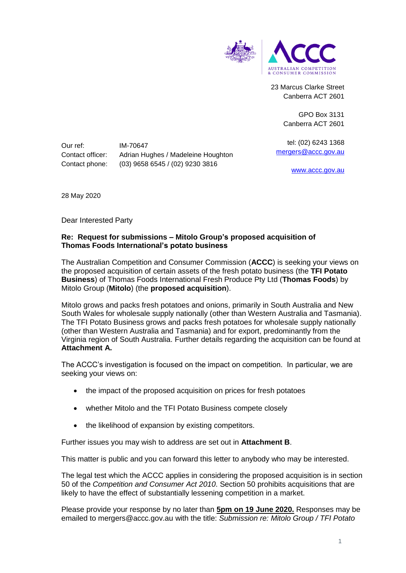

23 Marcus Clarke Street Canberra ACT 2601

> GPO Box 3131 Canberra ACT 2601

tel: (02) 6243 1368 [mergers@accc.gov.au](mailto:mergers@accc.gov.au)

[www.accc.gov.au](http://www.accc.gov.au/)

Our ref: IM-70647

Contact officer: Adrian Hughes / Madeleine Houghton Contact phone: (03) 9658 6545 / (02) 9230 3816

28 May 2020

Dear Interested Party

## **Re: Request for submissions – Mitolo Group's proposed acquisition of Thomas Foods International's potato business**

The Australian Competition and Consumer Commission (**ACCC**) is seeking your views on the proposed acquisition of certain assets of the fresh potato business (the **TFI Potato Business**) of Thomas Foods International Fresh Produce Pty Ltd (**Thomas Foods**) by Mitolo Group (**Mitolo**) (the **proposed acquisition**).

Mitolo grows and packs fresh potatoes and onions, primarily in South Australia and New South Wales for wholesale supply nationally (other than Western Australia and Tasmania). The TFI Potato Business grows and packs fresh potatoes for wholesale supply nationally (other than Western Australia and Tasmania) and for export, predominantly from the Virginia region of South Australia. Further details regarding the acquisition can be found at **Attachment A.**

The ACCC's investigation is focused on the impact on competition. In particular, we are seeking your views on:

- the impact of the proposed acquisition on prices for fresh potatoes
- whether Mitolo and the TFI Potato Business compete closely
- the likelihood of expansion by existing competitors.

Further issues you may wish to address are set out in **Attachment B**.

This matter is public and you can forward this letter to anybody who may be interested.

The legal test which the ACCC applies in considering the proposed acquisition is in section 50 of the *Competition and Consumer Act 2010*. Section 50 prohibits acquisitions that are likely to have the effect of substantially lessening competition in a market.

Please provide your response by no later than **5pm on 19 June 2020.** Responses may be emailed to mergers@accc.gov.au with the title: *Submission re: Mitolo Group / TFI Potato*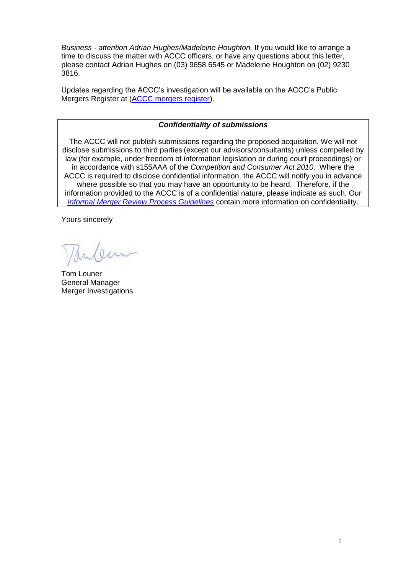*Business - attention Adrian Hughes/Madeleine Houghton.* If you would like to arrange a time to discuss the matter with ACCC officers, or have any questions about this letter, please contact Adrian Hughes on (03) 9658 6545 or Madeleine Houghton on (02) 9230 3816.

Updates regarding the ACCC's investigation will be available on the ACCC's Public Mergers Register at [\(ACCC mergers register\)](http://www.accc.gov.au/mergersregister).

## *Confidentiality of submissions*

The ACCC will not publish submissions regarding the proposed acquisition. We will not disclose submissions to third parties (except our advisors/consultants) unless compelled by law (for example, under freedom of information legislation or during court proceedings) or in accordance with s155AAA of the *Competition and Consumer Act 2010*. Where the ACCC is required to disclose confidential information, the ACCC will notify you in advance where possible so that you may have an opportunity to be heard. Therefore, if the information provided to the ACCC is of a confidential nature, please indicate as such. Our *[Informal Merger Review Process Guidelines](https://www.accc.gov.au/publications/informal-merger-review-process-guidelines-2013)* contain more information on confidentiality.

Yours sincerely

Tom Leuner General Manager Merger Investigations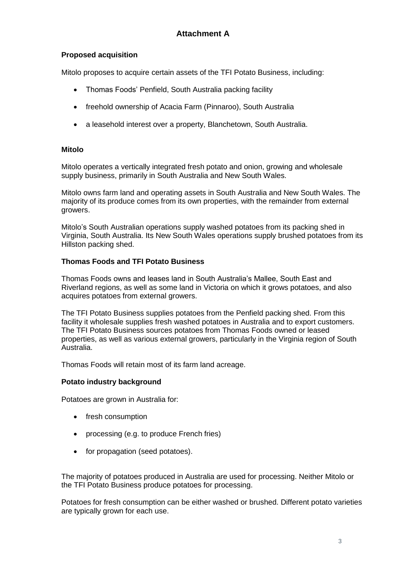# **Proposed acquisition**

Mitolo proposes to acquire certain assets of the TFI Potato Business, including:

- Thomas Foods' Penfield, South Australia packing facility
- freehold ownership of Acacia Farm (Pinnaroo), South Australia
- a leasehold interest over a property, Blanchetown, South Australia.

## **Mitolo**

Mitolo operates a vertically integrated fresh potato and onion, growing and wholesale supply business, primarily in South Australia and New South Wales.

Mitolo owns farm land and operating assets in South Australia and New South Wales. The majority of its produce comes from its own properties, with the remainder from external growers.

Mitolo's South Australian operations supply washed potatoes from its packing shed in Virginia, South Australia. Its New South Wales operations supply brushed potatoes from its Hillston packing shed.

## **Thomas Foods and TFI Potato Business**

Thomas Foods owns and leases land in South Australia's Mallee, South East and Riverland regions, as well as some land in Victoria on which it grows potatoes, and also acquires potatoes from external growers.

The TFI Potato Business supplies potatoes from the Penfield packing shed. From this facility it wholesale supplies fresh washed potatoes in Australia and to export customers. The TFI Potato Business sources potatoes from Thomas Foods owned or leased properties, as well as various external growers, particularly in the Virginia region of South Australia.

Thomas Foods will retain most of its farm land acreage.

## **Potato industry background**

Potatoes are grown in Australia for:

- fresh consumption
- processing (e.g. to produce French fries)
- for propagation (seed potatoes).

The majority of potatoes produced in Australia are used for processing. Neither Mitolo or the TFI Potato Business produce potatoes for processing.

Potatoes for fresh consumption can be either washed or brushed. Different potato varieties are typically grown for each use.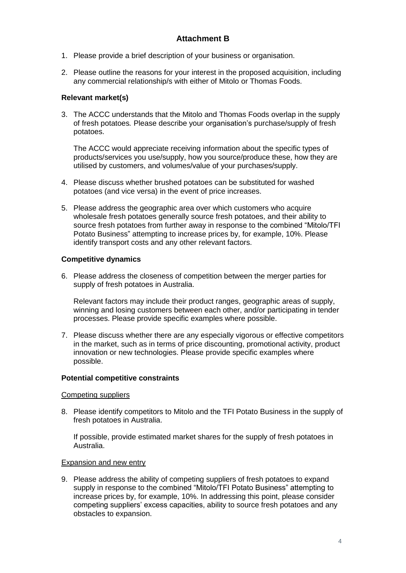- 1. Please provide a brief description of your business or organisation.
- 2. Please outline the reasons for your interest in the proposed acquisition, including any commercial relationship/s with either of Mitolo or Thomas Foods.

### **Relevant market(s)**

3. The ACCC understands that the Mitolo and Thomas Foods overlap in the supply of fresh potatoes*.* Please describe your organisation's purchase/supply of fresh potatoes.

The ACCC would appreciate receiving information about the specific types of products/services you use/supply, how you source/produce these, how they are utilised by customers, and volumes/value of your purchases/supply.

- 4. Please discuss whether brushed potatoes can be substituted for washed potatoes (and vice versa) in the event of price increases.
- 5. Please address the geographic area over which customers who acquire wholesale fresh potatoes generally source fresh potatoes, and their ability to source fresh potatoes from further away in response to the combined "Mitolo/TFI Potato Business" attempting to increase prices by, for example, 10%. Please identify transport costs and any other relevant factors.

### **Competitive dynamics**

6. Please address the closeness of competition between the merger parties for supply of fresh potatoes in Australia.

Relevant factors may include their product ranges, geographic areas of supply, winning and losing customers between each other, and/or participating in tender processes. Please provide specific examples where possible.

7. Please discuss whether there are any especially vigorous or effective competitors in the market, such as in terms of price discounting, promotional activity, product innovation or new technologies. Please provide specific examples where possible.

#### **Potential competitive constraints**

#### Competing suppliers

8. Please identify competitors to Mitolo and the TFI Potato Business in the supply of fresh potatoes in Australia.

If possible, provide estimated market shares for the supply of fresh potatoes in Australia.

#### Expansion and new entry

9. Please address the ability of competing suppliers of fresh potatoes to expand supply in response to the combined "Mitolo/TFI Potato Business" attempting to increase prices by, for example, 10%. In addressing this point, please consider competing suppliers' excess capacities, ability to source fresh potatoes and any obstacles to expansion.